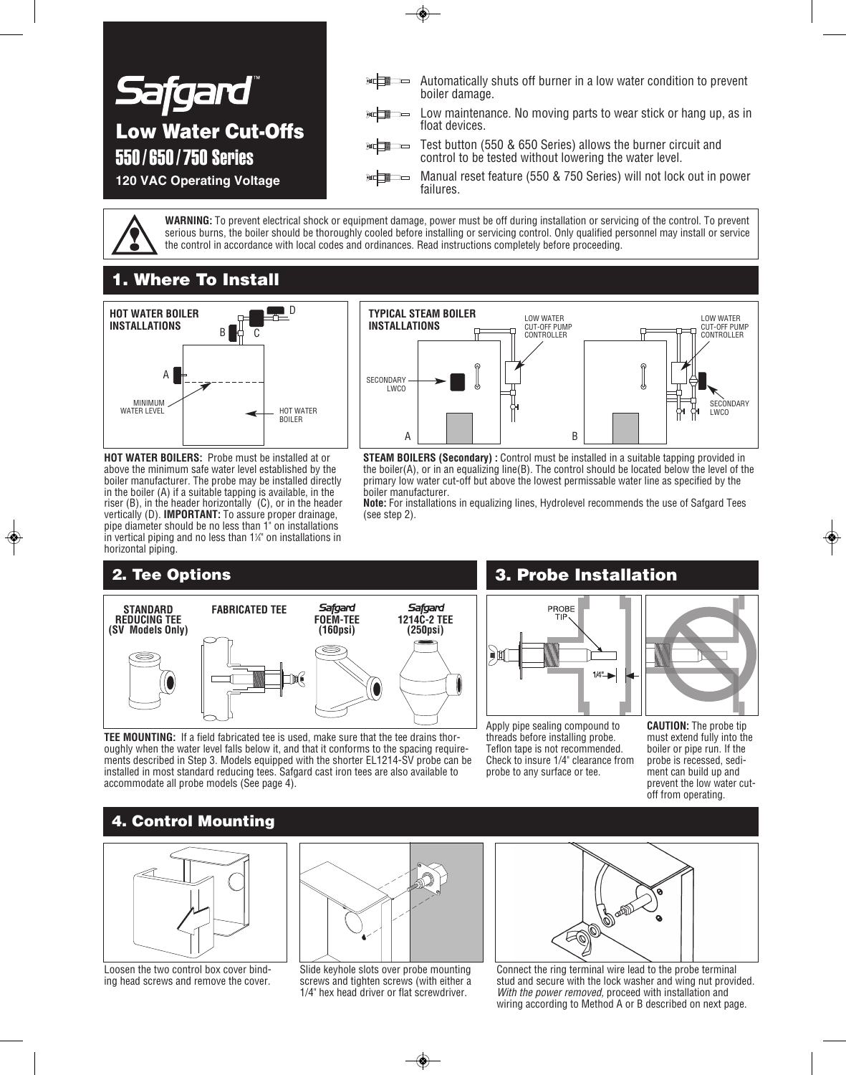

**WARNING:** To prevent electrical shock or equipment damage, power must be off during installation or servicing of the control. To prevent serious burns, the boiler should be thoroughly cooled before installing or servicing control. Only qualified personnel may install or service the control in accordance with local codes and ordinances. Read instructions completely before proceeding.

### **1. Where To Install**



**HOT WATER BOILERS:** Probe must be installed at or above the minimum safe water level established by the boiler manufacturer. The probe may be installed directly in the boiler (A) if a suitable tapping is available, in the riser (B), in the header horizontally (C), or in the header vertically (D). **IMPORTANT:** To assure proper drainage, pipe diameter should be no less than 1" on installations  $\overline{a}$  in vertical piping and no less than 1¼" on installations in horizontal piping.



**STEAM BOILERS (Secondary) :** Control must be installed in a suitable tapping provided in the boiler(A), or in an equalizing line(B). The control should be located below the level of the primary low water cut-off but above the lowest permissable water line as specified by the boiler manufacturer.

**Note:** For installations in equalizing lines, Hydrolevel recommends the use of Safgard Tees (see step 2).



**TEE MOUNTING:** If a field fabricated tee is used, make sure that the tee drains thoroughly when the water level falls below it, and that it conforms to the spacing requirements described in Step 3. Models equipped with the shorter EL1214-SV probe can be installed in most standard reducing tees. Safgard cast iron tees are also available to accommodate all probe models (See page 4).

### **2. Tee Options 3. Probe Installation**



Apply pipe sealing compound to threads before installing probe. Teflon tape is not recommended. Check to insure 1/4" clearance from probe to any surface or tee.

**CAUTION:** The probe tip must extend fully into the boiler or pipe run. If the probe is recessed, sediment can build up and prevent the low water cutoff from operating.

### **4. Control Mounting**



Loosen the two control box cover binding head screws and remove the cover.



Slide keyhole slots over probe mounting screws and tighten screws (with either a 1/4" hex head driver or flat screwdriver.



Connect the ring terminal wire lead to the probe terminal stud and secure with the lock washer and wing nut provided. *With the power removed,* proceed with installation and wiring according to Method A or B described on next page.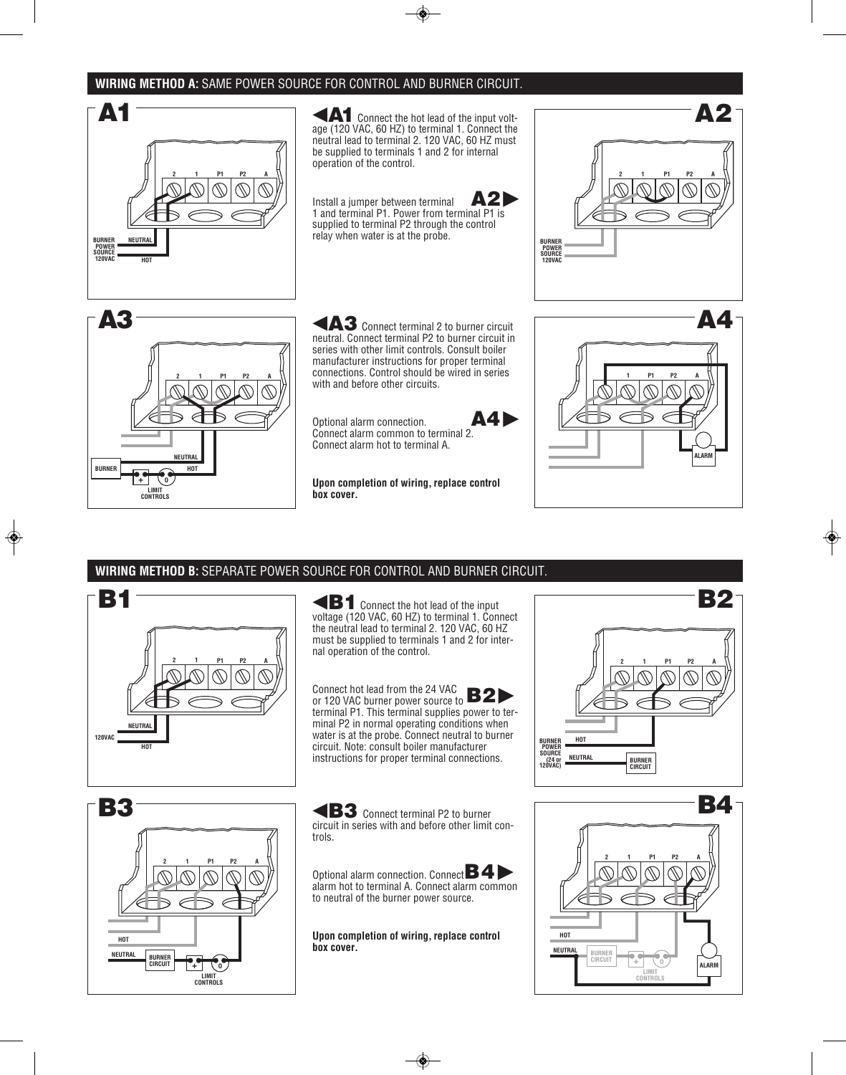#### **WIRING METHOD A:** SAME POWER SOURCE FOR CONTROL AND BURNER CIRCUIT.



### **WIRING METHOD B:** SEPARATE POWER SOURCE FOR CONTROL AND BURNER CIRCUIT.

**2 P1 P2 A 120VAC 1 NEUTRAL HOT B1**

**B1**Connect the hot lead of the input voltage (120 VAC, 60 HZ) to terminal 1. Connect the neutral lead to terminal 2. 120 VAC, 60 HZ must be supplied to terminals 1 and 2 for internal operation of the control.

Connect hot lead from the 24 VAC Connect hot lead from the 24 VAC<br>or 120 VAC burner power source to **B2** terminal P1. This terminal supplies power to terminal P2 in normal operating conditions when water is at the probe. Connect neutral to burner circuit. Note: consult boiler manufacturer instructions for proper terminal connections.

**P1 P2 A + 0 LIMIT CONTROLS BURNER CIRCUIT HOT NEUTRAL 2 1 B3**

**B3** Connect terminal P2 to burner circuit in series with and before other limit controls.

Optional alarm connection. Connect **B4** alarm hot to terminal A. Connect alarm common to neutral of the burner power source.

**Upon completion of wiring, replace control box cover.**



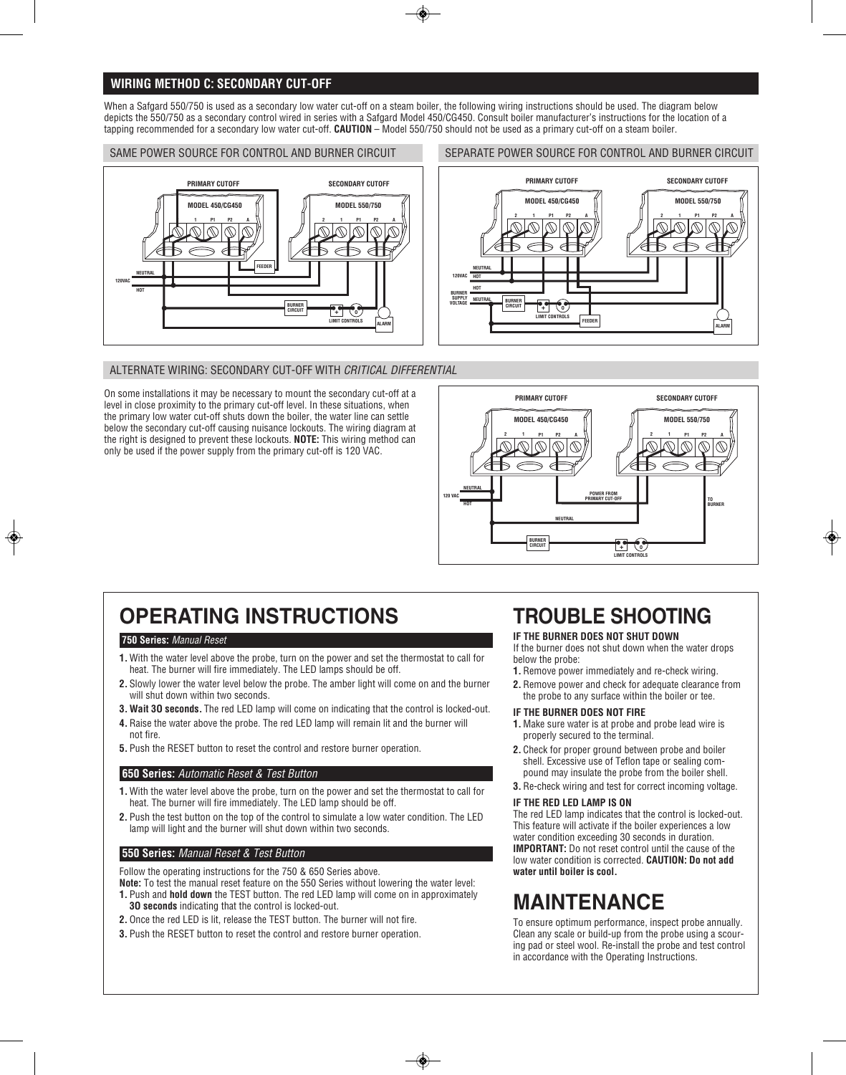#### **WIRING METHOD C: SECONDARY CUT-OFF**

When a Safgard 550/750 is used as a secondary low water cut-off on a steam boiler, the following wiring instructions should be used. The diagram below depicts the 550/750 as a secondary control wired in series with a Safgard Model 450/CG450. Consult boiler manufacturer's instructions for the location of a tapping recommended for a secondary low water cut-off. **CAUTION** – Model 550/750 should not be used as a primary cut-off on a steam boiler.

SAME POWER SOURCE FOR CONTROL AND BURNER CIRCUIT



#### SEPARATE POWER SOURCE FOR CONTROL AND BURNER CIRCUIT



#### ALTERNATE WIRING: SECONDARY CUT-OFF WITH *CRITICAL DIFFERENTIAL*

On some installations it may be necessary to mount the secondary cut-off at a level in close proximity to the primary cut-off level. In these situations, when the primary low water cut-off shuts down the boiler, the water line can settle below the secondary cut-off causing nuisance lockouts. The wiring diagram at the right is designed to prevent these lockouts. **NOTE:** This wiring method can only be used if the power supply from the primary cut-off is 120 VAC.



# **OPERATING INSTRUCTIONS**

#### **750 Series:** *Manual Reset*

- **1.** With the water level above the probe, turn on the power and set the thermostat to call for heat. The burner will fire immediately. The LED lamps should be off.
- **2.** Slowly lower the water level below the probe. The amber light will come on and the burner will shut down within two seconds.
- **3. Wait 3O seconds.** The red LED lamp will come on indicating that the control is locked-out.
- **4.** Raise the water above the probe. The red LED lamp will remain lit and the burner will not fire.
- **5.** Push the RESET button to reset the control and restore burner operation.

#### **650 Series:** *Automatic Reset & Test Button*

- **1.** With the water level above the probe, turn on the power and set the thermostat to call for heat. The burner will fire immediately. The LED lamp should be off.
- **2.** Push the test button on the top of the control to simulate a low water condition. The LED lamp will light and the burner will shut down within two seconds.

#### **550 Series:** *Manual Reset & Test Button*

Follow the operating instructions for the 750 & 650 Series above.

- **Note:** To test the manual reset feature on the 550 Series without lowering the water level: **1.** Push and **hold down** the TEST button. The red LED lamp will come on in approximately **3O seconds** indicating that the control is locked-out.
- **2.** Once the red LED is lit, release the TEST button. The burner will not fire.
- **3.** Push the RESET button to reset the control and restore burner operation.

# **TROUBLE SHOOTING**

#### **IF THE BURNER DOES NOT SHUT DOWN**

If the burner does not shut down when the water drops below the probe:

- **1.** Remove power immediately and re-check wiring.
- **2.** Remove power and check for adequate clearance from the probe to any surface within the boiler or tee.

#### **IF THE BURNER DOES NOT FIRE**

- **1.** Make sure water is at probe and probe lead wire is properly secured to the terminal.
- **2.** Check for proper ground between probe and boiler shell. Excessive use of Teflon tape or sealing compound may insulate the probe from the boiler shell.
- **3.** Re-check wiring and test for correct incoming voltage.

#### **IF THE RED LED LAMP IS ON**

The red LED lamp indicates that the control is locked-out. This feature will activate if the boiler experiences a low water condition exceeding 30 seconds in duration. **IMPORTANT:** Do not reset control until the cause of the low water condition is corrected. **CAUTION: Do not add water until boiler is cool.**

# **MAINTENANCE**

To ensure optimum performance, inspect probe annually. Clean any scale or build-up from the probe using a scouring pad or steel wool. Re-install the probe and test control in accordance with the Operating Instructions.